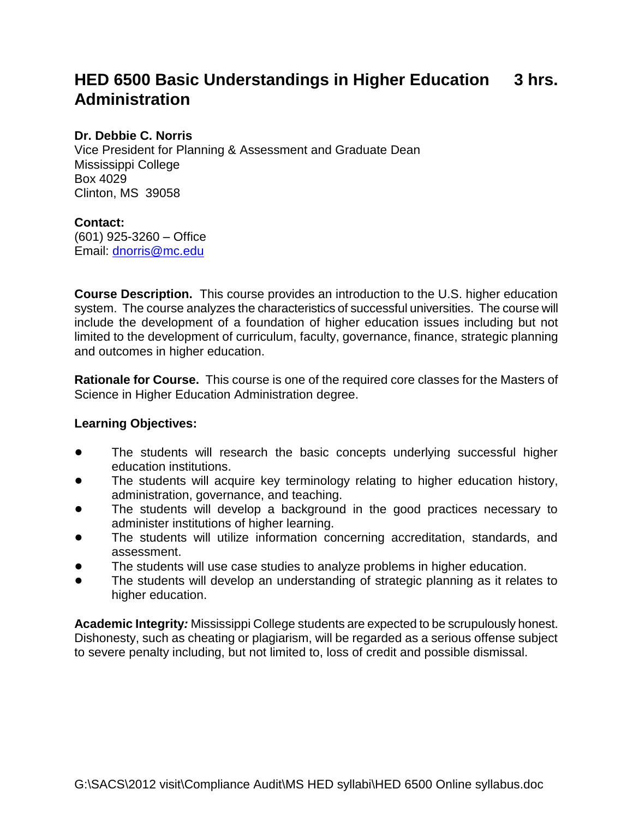# **HED 6500 Basic Understandings in Higher Education 3 hrs. Administration**

# **Dr. Debbie C. Norris**

Vice President for Planning & Assessment and Graduate Dean Mississippi College Box 4029 Clinton, MS 39058

# **Contact:**

(601) 925-3260 – Office Email: [dnorris@mc.edu](mailto:dnorris@mc.edu)

**Course Description.** This course provides an introduction to the U.S. higher education system. The course analyzes the characteristics of successful universities. The course will include the development of a foundation of higher education issues including but not limited to the development of curriculum, faculty, governance, finance, strategic planning and outcomes in higher education.

**Rationale for Course.** This course is one of the required core classes for the Masters of Science in Higher Education Administration degree.

### **Learning Objectives:**

- The students will research the basic concepts underlying successful higher education institutions.
- The students will acquire key terminology relating to higher education history, administration, governance, and teaching.
- The students will develop a background in the good practices necessary to administer institutions of higher learning.
- The students will utilize information concerning accreditation, standards, and assessment.
- The students will use case studies to analyze problems in higher education.
- The students will develop an understanding of strategic planning as it relates to higher education.

**Academic Integrity***:* Mississippi College students are expected to be scrupulously honest. Dishonesty, such as cheating or plagiarism, will be regarded as a serious offense subject to severe penalty including, but not limited to, loss of credit and possible dismissal.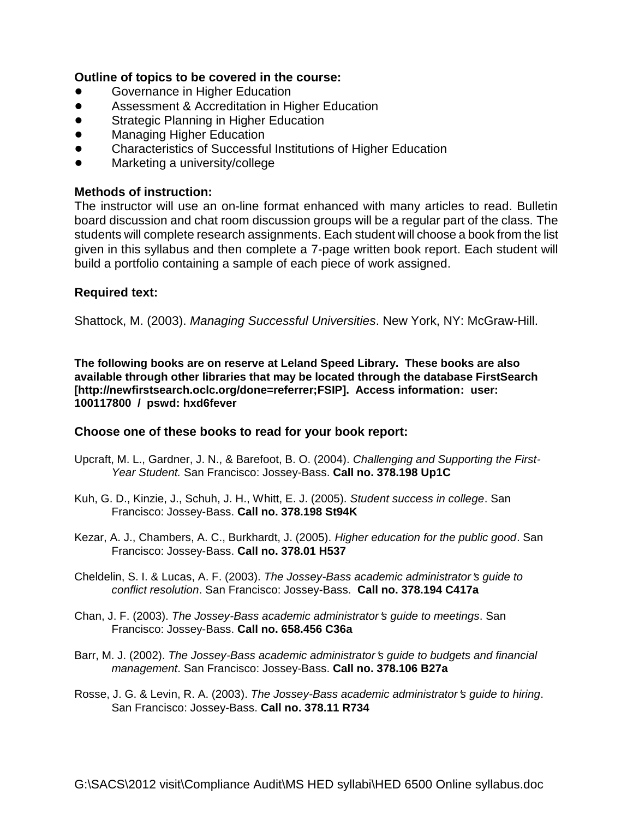# **Outline of topics to be covered in the course:**

- Governance in Higher Education
- **Assessment & Accreditation in Higher Education**
- **•** Strategic Planning in Higher Education
- **Managing Higher Education**
- ! Characteristics of Successful Institutions of Higher Education
- Marketing a university/college

# **Methods of instruction:**

The instructor will use an on-line format enhanced with many articles to read. Bulletin board discussion and chat room discussion groups will be a regular part of the class. The students will complete research assignments. Each student will choose a book from the list given in this syllabus and then complete a 7-page written book report. Each student will build a portfolio containing a sample of each piece of work assigned.

### **Required text:**

Shattock, M. (2003). *Managing Successful Universities*. New York, NY: McGraw-Hill.

**The following books are on reserve at Leland Speed Library. These books are also available through other libraries that may be located through the database FirstSearch [http://newfirstsearch.oclc.org/done=referrer;FSIP]. Access information: user: 100117800 / pswd: hxd6fever** 

### **Choose one of these books to read for your book report:**

- Upcraft, M. L., Gardner, J. N., & Barefoot, B. O. (2004). *Challenging and Supporting the First-Year Student.* San Francisco: Jossey-Bass. **Call no. 378.198 Up1C**
- Kuh, G. D., Kinzie, J., Schuh, J. H., Whitt, E. J. (2005). *Student success in college*. San Francisco: Jossey-Bass. **Call no. 378.198 St94K**
- Kezar, A. J., Chambers, A. C., Burkhardt, J. (2005). *Higher education for the public good*. San Francisco: Jossey-Bass. **Call no. 378.01 H537**
- Cheldelin, S. I. & Lucas, A. F. (2003). *The Jossey-Bass academic administrator*=*s guide to conflict resolution*. San Francisco: Jossey-Bass. **Call no. 378.194 C417a**
- Chan, J. F. (2003). *The Jossey-Bass academic administrator*=*s guide to meetings*. San Francisco: Jossey-Bass. **Call no. 658.456 C36a**
- Barr, M. J. (2002). *The Jossey-Bass academic administrator's guide to budgets and financial management*. San Francisco: Jossey-Bass. **Call no. 378.106 B27a**
- Rosse, J. G. & Levin, R. A. (2003). *The Jossey-Bass academic administrator*=*s guide to hiring*. San Francisco: Jossey-Bass. **Call no. 378.11 R734**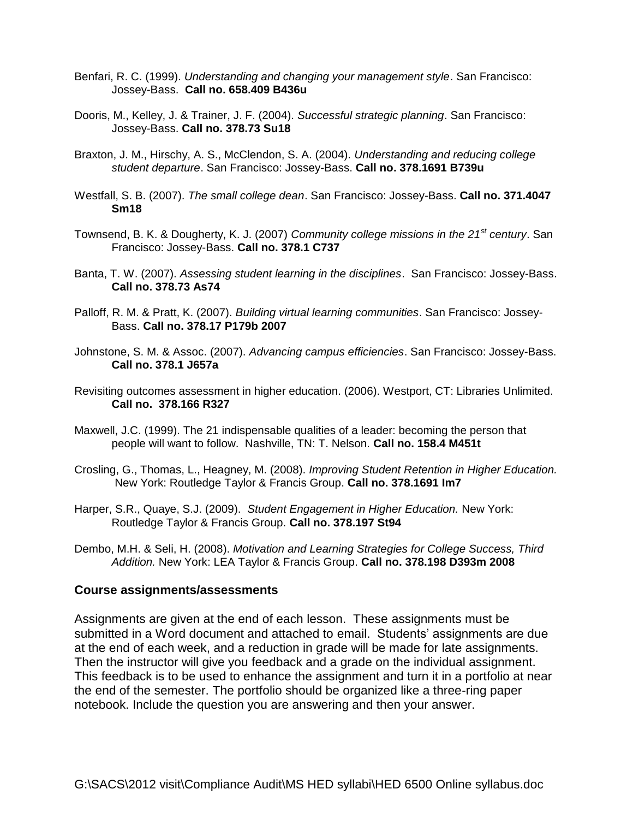- Benfari, R. C. (1999). *Understanding and changing your management style*. San Francisco: Jossey-Bass. **Call no. 658.409 B436u**
- Dooris, M., Kelley, J. & Trainer, J. F. (2004). *Successful strategic planning*. San Francisco: Jossey-Bass. **Call no. 378.73 Su18**
- Braxton, J. M., Hirschy, A. S., McClendon, S. A. (2004). *Understanding and reducing college student departure*. San Francisco: Jossey-Bass. **Call no. 378.1691 B739u**
- Westfall, S. B. (2007). *The small college dean*. San Francisco: Jossey-Bass. **Call no. 371.4047 Sm18**
- Townsend, B. K. & Dougherty, K. J. (2007) *Community college missions in the 21st century*. San Francisco: Jossey-Bass. **Call no. 378.1 C737**
- Banta, T. W. (2007). *Assessing student learning in the disciplines*. San Francisco: Jossey-Bass. **Call no. 378.73 As74**
- Palloff, R. M. & Pratt, K. (2007). *Building virtual learning communities*. San Francisco: Jossey-Bass. **Call no. 378.17 P179b 2007**
- Johnstone, S. M. & Assoc. (2007). *Advancing campus efficiencies*. San Francisco: Jossey-Bass. **Call no. 378.1 J657a**
- Revisiting outcomes assessment in higher education. (2006). Westport, CT: Libraries Unlimited. **Call no. 378.166 R327**
- Maxwell, J.C. (1999). The 21 indispensable qualities of a leader: becoming the person that people will want to follow. Nashville, TN: T. Nelson. **Call no. 158.4 M451t**
- Crosling, G., Thomas, L., Heagney, M. (2008). *Improving Student Retention in Higher Education.*  New York: Routledge Taylor & Francis Group. **Call no. 378.1691 Im7**
- Harper, S.R., Quaye, S.J. (2009). *Student Engagement in Higher Education.* New York: Routledge Taylor & Francis Group. **Call no. 378.197 St94**
- Dembo, M.H. & Seli, H. (2008). *Motivation and Learning Strategies for College Success, Third Addition.* New York: LEA Taylor & Francis Group. **Call no. 378.198 D393m 2008**

#### **Course assignments/assessments**

Assignments are given at the end of each lesson. These assignments must be submitted in a Word document and attached to email. Students' assignments are due at the end of each week, and a reduction in grade will be made for late assignments. Then the instructor will give you feedback and a grade on the individual assignment. This feedback is to be used to enhance the assignment and turn it in a portfolio at near the end of the semester. The portfolio should be organized like a three-ring paper notebook. Include the question you are answering and then your answer.